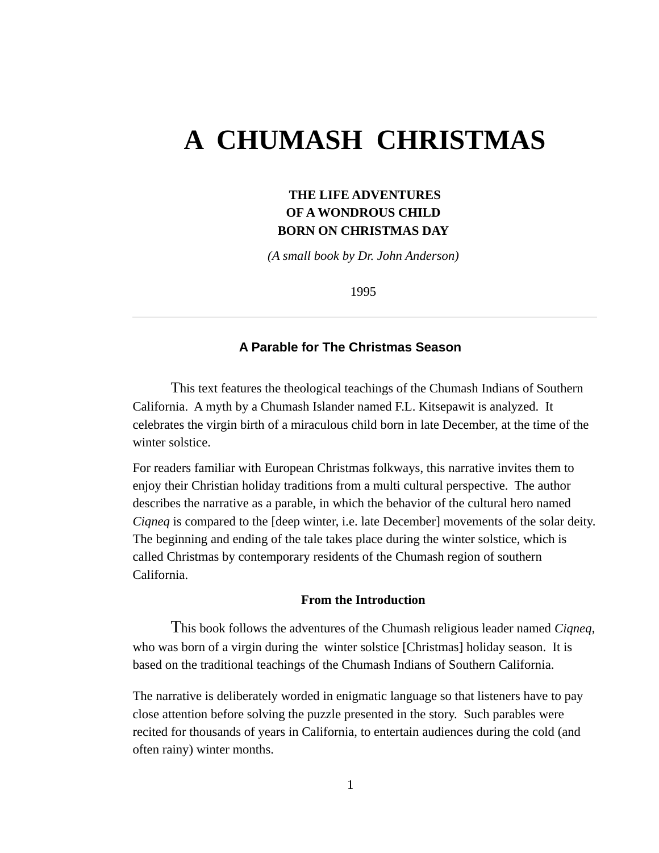# **A CHUMASH CHRISTMAS**

## **THE LIFE ADVENTURES OF A WONDROUS CHILD BORN ON CHRISTMAS DAY**

*(A small book by Dr. John Anderson)*

1995

### **A Parable for The Christmas Season**

This text features the theological teachings of the Chumash Indians of Southern California. A myth by a Chumash Islander named F.L. Kitsepawit is analyzed. It celebrates the virgin birth of a miraculous child born in late December, at the time of the winter solstice.

For readers familiar with European Christmas folkways, this narrative invites them to enjoy their Christian holiday traditions from a multi cultural perspective. The author describes the narrative as a parable, in which the behavior of the cultural hero named *Ciqneq* is compared to the [deep winter, i.e. late December] movements of the solar deity. The beginning and ending of the tale takes place during the winter solstice, which is called Christmas by contemporary residents of the Chumash region of southern California.

#### **From the Introduction**

This book follows the adventures of the Chumash religious leader named *Ciqneq*, who was born of a virgin during the winter solstice [Christmas] holiday season. It is based on the traditional teachings of the Chumash Indians of Southern California.

The narrative is deliberately worded in enigmatic language so that listeners have to pay close attention before solving the puzzle presented in the story. Such parables were recited for thousands of years in California, to entertain audiences during the cold (and often rainy) winter months.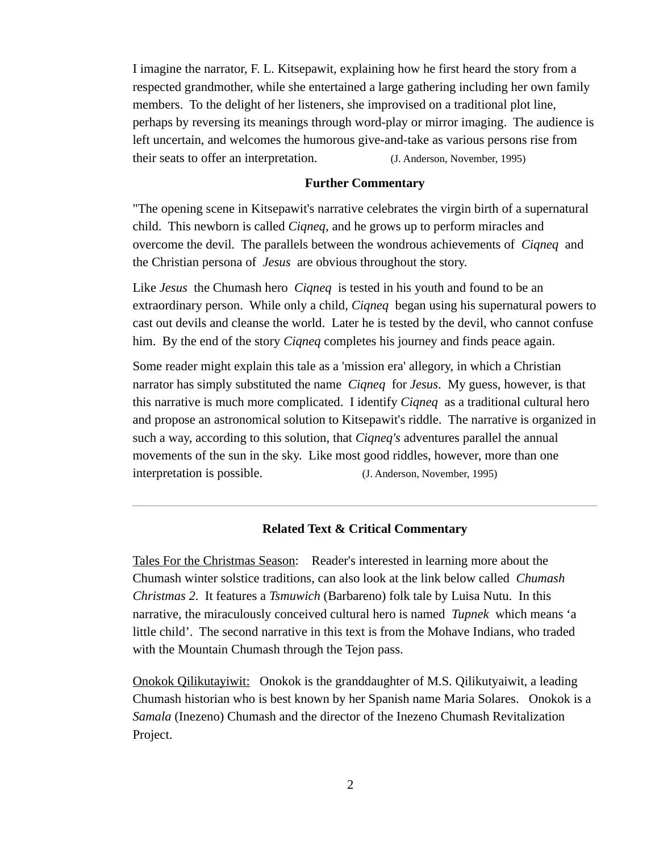I imagine the narrator, F. L. Kitsepawit, explaining how he first heard the story from a respected grandmother, while she entertained a large gathering including her own family members. To the delight of her listeners, she improvised on a traditional plot line, perhaps by reversing its meanings through word-play or mirror imaging. The audience is left uncertain, and welcomes the humorous give-and-take as various persons rise from their seats to offer an interpretation. (J. Anderson, November, 1995)

#### **Further Commentary**

"The opening scene in Kitsepawit's narrative celebrates the virgin birth of a supernatural child. This newborn is called *Ciqneq,* and he grows up to perform miracles and overcome the devil. The parallels between the wondrous achievements of *Ciqneq* and the Christian persona of *Jesus* are obvious throughout the story.

Like *Jesus* the Chumash hero *Ciqneq* is tested in his youth and found to be an extraordinary person. While only a child, *Ciqneq* began using his supernatural powers to cast out devils and cleanse the world. Later he is tested by the devil, who cannot confuse him. By the end of the story *Ciqneq* completes his journey and finds peace again.

Some reader might explain this tale as a 'mission era' allegory, in which a Christian narrator has simply substituted the name *Ciqneq* for *Jesus*. My guess, however, is that this narrative is much more complicated. I identify *Ciqneq* as a traditional cultural hero and propose an astronomical solution to Kitsepawit's riddle. The narrative is organized in such a way, according to this solution, that *Ciqneq's* adventures parallel the annual movements of the sun in the sky. Like most good riddles, however, more than one interpretation is possible. (J. Anderson, November, 1995)

#### **Related Text & Critical Commentary**

Tales For the Christmas Season: Reader's interested in learning more about the Chumash winter solstice traditions, can also look at the link below called *Chumash Christmas 2.* It features a *Tsmuwich* (Barbareno) folk tale by Luisa Nutu. In this narrative, the miraculously conceived cultural hero is named *Tupnek* which means 'a little child'. The second narrative in this text is from the Mohave Indians, who traded with the Mountain Chumash through the Tejon pass.

Onokok Qilikutayiwit: Onokok is the granddaughter of M.S. Qilikutyaiwit, a leading Chumash historian who is best known by her Spanish name Maria Solares. Onokok is a *Samala* (Inezeno) Chumash and the director of the Inezeno Chumash Revitalization Project.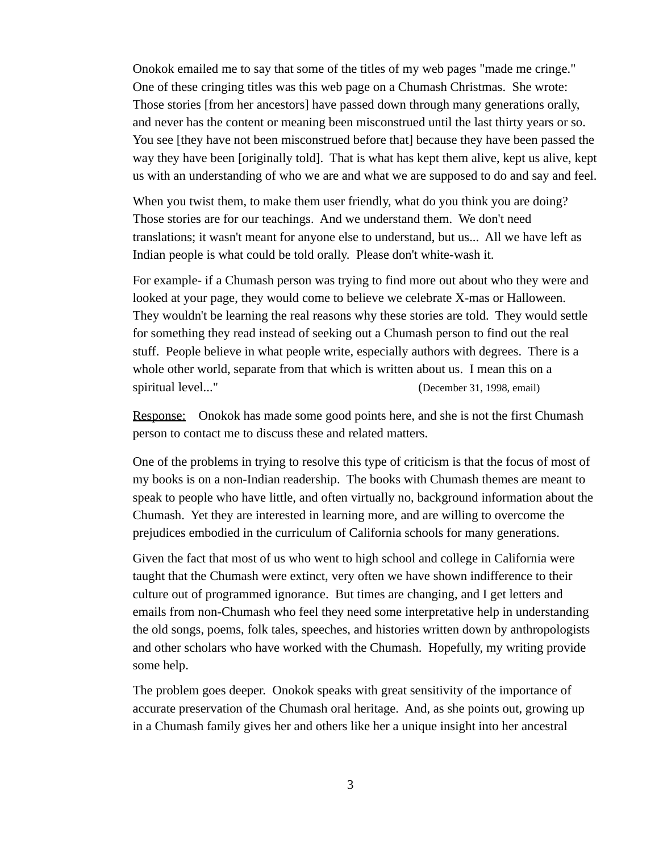Onokok emailed me to say that some of the titles of my web pages "made me cringe." One of these cringing titles was this web page on a Chumash Christmas. She wrote: Those stories [from her ancestors] have passed down through many generations orally, and never has the content or meaning been misconstrued until the last thirty years or so. You see [they have not been misconstrued before that] because they have been passed the way they have been [originally told]. That is what has kept them alive, kept us alive, kept us with an understanding of who we are and what we are supposed to do and say and feel.

When you twist them, to make them user friendly, what do you think you are doing? Those stories are for our teachings. And we understand them. We don't need translations; it wasn't meant for anyone else to understand, but us... All we have left as Indian people is what could be told orally. Please don't white-wash it.

For example- if a Chumash person was trying to find more out about who they were and looked at your page, they would come to believe we celebrate X-mas or Halloween. They wouldn't be learning the real reasons why these stories are told. They would settle for something they read instead of seeking out a Chumash person to find out the real stuff. People believe in what people write, especially authors with degrees. There is a whole other world, separate from that which is written about us. I mean this on a spiritual level..." (December 31, 1998, email)

Response: Onokok has made some good points here, and she is not the first Chumash person to contact me to discuss these and related matters.

One of the problems in trying to resolve this type of criticism is that the focus of most of my books is on a non-Indian readership. The books with Chumash themes are meant to speak to people who have little, and often virtually no, background information about the Chumash. Yet they are interested in learning more, and are willing to overcome the prejudices embodied in the curriculum of California schools for many generations.

Given the fact that most of us who went to high school and college in California were taught that the Chumash were extinct, very often we have shown indifference to their culture out of programmed ignorance. But times are changing, and I get letters and emails from non-Chumash who feel they need some interpretative help in understanding the old songs, poems, folk tales, speeches, and histories written down by anthropologists and other scholars who have worked with the Chumash. Hopefully, my writing provide some help.

The problem goes deeper. Onokok speaks with great sensitivity of the importance of accurate preservation of the Chumash oral heritage. And, as she points out, growing up in a Chumash family gives her and others like her a unique insight into her ancestral